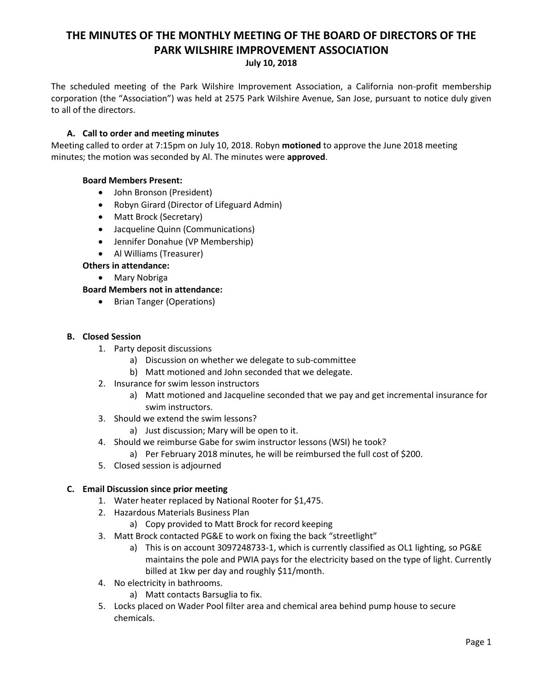# **THE MINUTES OF THE MONTHLY MEETING OF THE BOARD OF DIRECTORS OF THE PARK WILSHIRE IMPROVEMENT ASSOCIATION**

#### **July 10, 2018**

The scheduled meeting of the Park Wilshire Improvement Association, a California non-profit membership corporation (the "Association") was held at 2575 Park Wilshire Avenue, San Jose, pursuant to notice duly given to all of the directors.

## **A. Call to order and meeting minutes**

Meeting called to order at 7:15pm on July 10, 2018. Robyn **motioned** to approve the June 2018 meeting minutes; the motion was seconded by Al. The minutes were **approved**.

### **Board Members Present:**

- John Bronson (President)
- Robyn Girard (Director of Lifeguard Admin)
- Matt Brock (Secretary)
- Jacqueline Quinn (Communications)
- Jennifer Donahue (VP Membership)
- Al Williams (Treasurer)

# **Others in attendance:**

Mary Nobriga

### **Board Members not in attendance:**

• Brian Tanger (Operations)

### **B. Closed Session**

- 1. Party deposit discussions
	- a) Discussion on whether we delegate to sub-committee
	- b) Matt motioned and John seconded that we delegate.
- 2. Insurance for swim lesson instructors
	- a) Matt motioned and Jacqueline seconded that we pay and get incremental insurance for swim instructors.
- 3. Should we extend the swim lessons?
	- a) Just discussion; Mary will be open to it.
- 4. Should we reimburse Gabe for swim instructor lessons (WSI) he took?
	- a) Per February 2018 minutes, he will be reimbursed the full cost of \$200.
- 5. Closed session is adjourned

### **C. Email Discussion since prior meeting**

- 1. Water heater replaced by National Rooter for \$1,475.
- 2. Hazardous Materials Business Plan
	- a) Copy provided to Matt Brock for record keeping
- 3. Matt Brock contacted PG&E to work on fixing the back "streetlight"
	- a) This is on account 3097248733-1, which is currently classified as OL1 lighting, so PG&E maintains the pole and PWIA pays for the electricity based on the type of light. Currently billed at 1kw per day and roughly \$11/month.
- 4. No electricity in bathrooms.
	- a) Matt contacts Barsuglia to fix.
- 5. Locks placed on Wader Pool filter area and chemical area behind pump house to secure chemicals.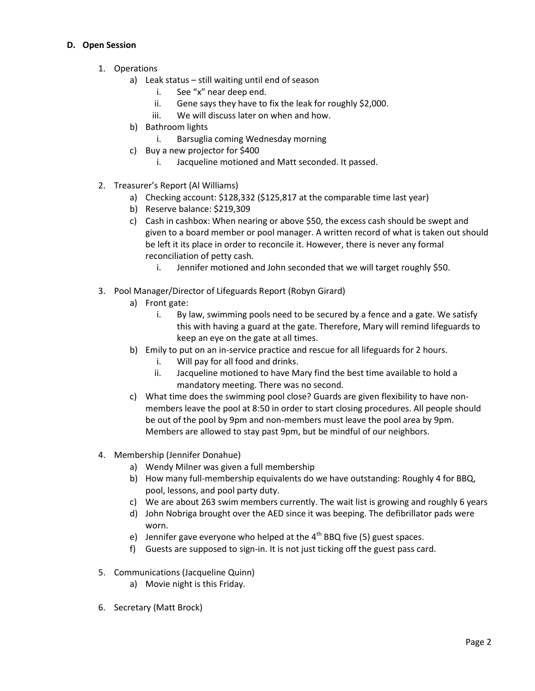# **D. Open Session**

- 1. Operations
	- a) Leak status still waiting until end of season
		- i. See "x" near deep end.
		- ii. Gene says they have to fix the leak for roughly \$2,000.
		- iii. We will discuss later on when and how.
	- b) Bathroom lights
		- i. Barsuglia coming Wednesday morning
	- c) Buy a new projector for \$400
		- i. Jacqueline motioned and Matt seconded. It passed.
- 2. Treasurer's Report (Al Williams)
	- a) Checking account: \$128,332 (\$125,817 at the comparable time last year)
	- b) Reserve balance: \$219,309
	- c) Cash in cashbox: When nearing or above \$50, the excess cash should be swept and given to a board member or pool manager. A written record of what is taken out should be left it its place in order to reconcile it. However, there is never any formal reconciliation of petty cash.
		- i. Jennifer motioned and John seconded that we will target roughly \$50.
- 3. Pool Manager/Director of Lifeguards Report (Robyn Girard)
	- a) Front gate:
		- i. By law, swimming pools need to be secured by a fence and a gate. We satisfy this with having a guard at the gate. Therefore, Mary will remind lifeguards to keep an eye on the gate at all times.
	- b) Emily to put on an in-service practice and rescue for all lifeguards for 2 hours.
		- i. Will pay for all food and drinks.
		- ii. Jacqueline motioned to have Mary find the best time available to hold a mandatory meeting. There was no second.
	- c) What time does the swimming pool close? Guards are given flexibility to have nonmembers leave the pool at 8:50 in order to start closing procedures. All people should be out of the pool by 9pm and non-members must leave the pool area by 9pm. Members are allowed to stay past 9pm, but be mindful of our neighbors.
- 4. Membership (Jennifer Donahue)
	- a) Wendy Milner was given a full membership
	- b) How many full-membership equivalents do we have outstanding: Roughly 4 for BBQ, pool, lessons, and pool party duty.
	- c) We are about 263 swim members currently. The wait list is growing and roughly 6 years
	- d) John Nobriga brought over the AED since it was beeping. The defibrillator pads were worn.
	- e) Jennifer gave everyone who helped at the  $4<sup>th</sup>$  BBQ five (5) guest spaces.
	- f) Guests are supposed to sign-in. It is not just ticking off the guest pass card.
- 5. Communications (Jacqueline Quinn)
	- a) Movie night is this Friday.
- 6. Secretary (Matt Brock)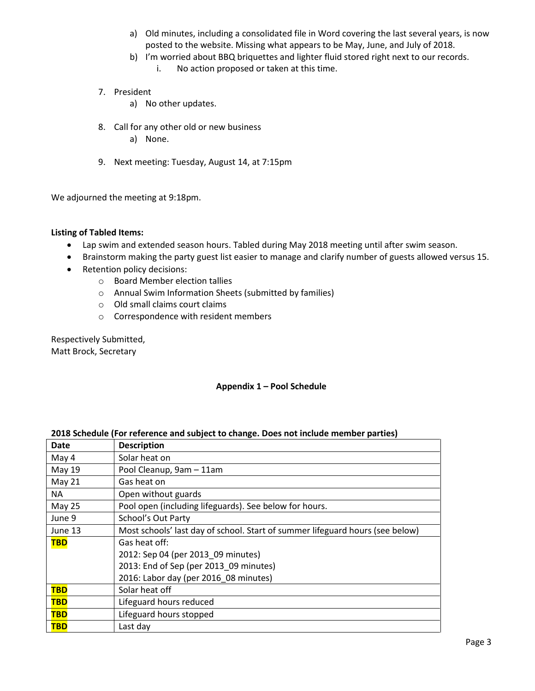- a) Old minutes, including a consolidated file in Word covering the last several years, is now posted to the website. Missing what appears to be May, June, and July of 2018.
- b) I'm worried about BBQ briquettes and lighter fluid stored right next to our records. i. No action proposed or taken at this time.
- 7. President
	- a) No other updates.
- 8. Call for any other old or new business a) None.
- 9. Next meeting: Tuesday, August 14, at 7:15pm

We adjourned the meeting at 9:18pm.

#### **Listing of Tabled Items:**

- Lap swim and extended season hours. Tabled during May 2018 meeting until after swim season.
- Brainstorm making the party guest list easier to manage and clarify number of guests allowed versus 15.
- Retention policy decisions:
	- o Board Member election tallies
	- o Annual Swim Information Sheets (submitted by families)
	- o Old small claims court claims
	- o Correspondence with resident members

Respectively Submitted, Matt Brock, Secretary

### **Appendix 1 – Pool Schedule**

| <b>Date</b>   | <b>Description</b>                                                            |
|---------------|-------------------------------------------------------------------------------|
| May 4         | Solar heat on                                                                 |
| May 19        | Pool Cleanup, 9am - 11am                                                      |
| May 21        | Gas heat on                                                                   |
| NA            | Open without guards                                                           |
| <b>May 25</b> | Pool open (including lifeguards). See below for hours.                        |
| June 9        | School's Out Party                                                            |
| June 13       | Most schools' last day of school. Start of summer lifeguard hours (see below) |
| <b>TBD</b>    | Gas heat off:                                                                 |
|               | 2012: Sep 04 (per 2013 09 minutes)                                            |
|               | 2013: End of Sep (per 2013 09 minutes)                                        |
|               | 2016: Labor day (per 2016 08 minutes)                                         |
| <b>TBD</b>    | Solar heat off                                                                |
| <b>TBD</b>    | Lifeguard hours reduced                                                       |
| <b>TBD</b>    | Lifeguard hours stopped                                                       |
| <b>TBD</b>    | Last day                                                                      |

# **2018 Schedule (For reference and subject to change. Does not include member parties)**